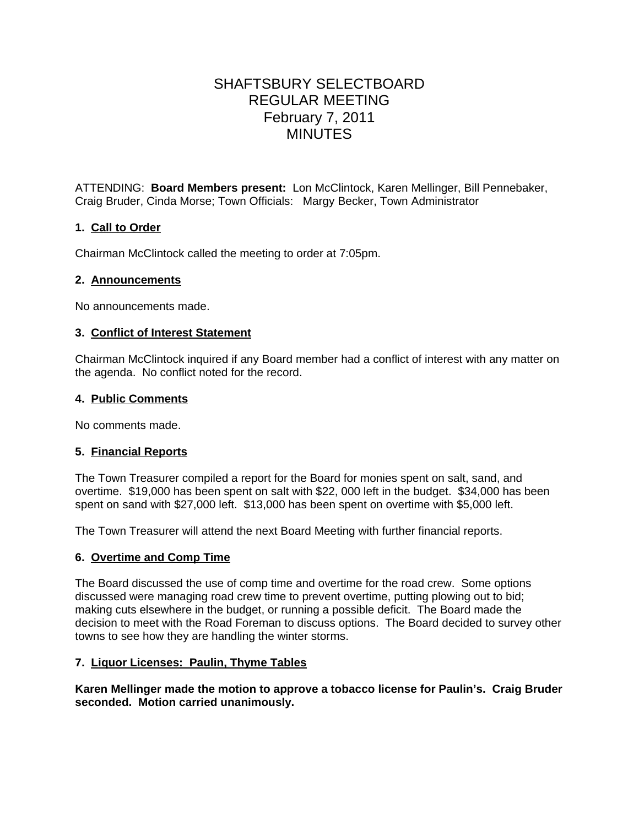# SHAFTSBURY SELECTBOARD REGULAR MEETING February 7, 2011 MINUTES

ATTENDING: **Board Members present:** Lon McClintock, Karen Mellinger, Bill Pennebaker, Craig Bruder, Cinda Morse; Town Officials: Margy Becker, Town Administrator

# **1. Call to Order**

Chairman McClintock called the meeting to order at 7:05pm.

# **2. Announcements**

No announcements made.

# **3. Conflict of Interest Statement**

Chairman McClintock inquired if any Board member had a conflict of interest with any matter on the agenda. No conflict noted for the record.

# **4. Public Comments**

No comments made.

# **5. Financial Reports**

The Town Treasurer compiled a report for the Board for monies spent on salt, sand, and overtime. \$19,000 has been spent on salt with \$22, 000 left in the budget. \$34,000 has been spent on sand with \$27,000 left. \$13,000 has been spent on overtime with \$5,000 left.

The Town Treasurer will attend the next Board Meeting with further financial reports.

# **6. Overtime and Comp Time**

The Board discussed the use of comp time and overtime for the road crew. Some options discussed were managing road crew time to prevent overtime, putting plowing out to bid; making cuts elsewhere in the budget, or running a possible deficit. The Board made the decision to meet with the Road Foreman to discuss options. The Board decided to survey other towns to see how they are handling the winter storms.

# **7. Liquor Licenses: Paulin, Thyme Tables**

**Karen Mellinger made the motion to approve a tobacco license for Paulin's. Craig Bruder seconded. Motion carried unanimously.**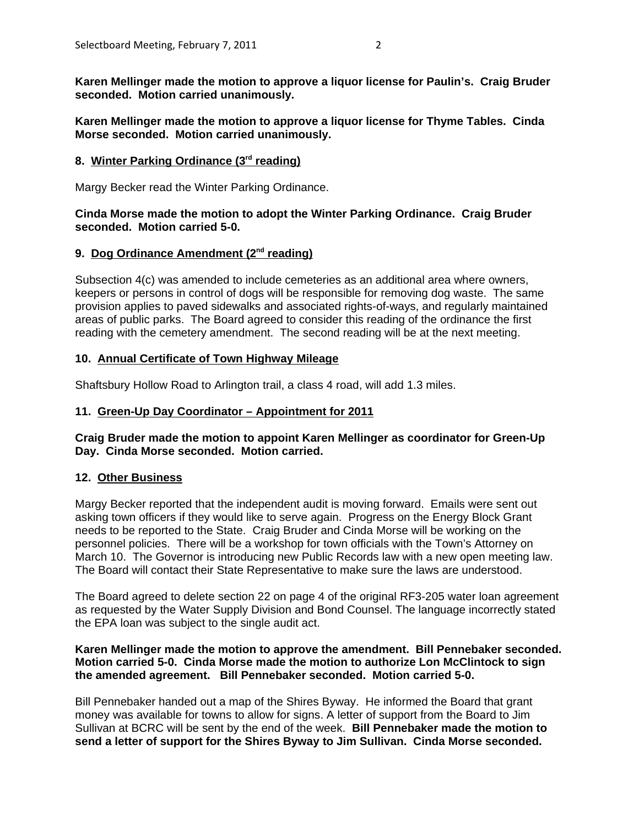**Karen Mellinger made the motion to approve a liquor license for Paulin's. Craig Bruder seconded. Motion carried unanimously.**

**Karen Mellinger made the motion to approve a liquor license for Thyme Tables. Cinda Morse seconded. Motion carried unanimously.**

## 8. Winter Parking Ordinance (3<sup>rd</sup> reading)

Margy Becker read the Winter Parking Ordinance.

## **Cinda Morse made the motion to adopt the Winter Parking Ordinance. Craig Bruder seconded. Motion carried 5-0.**

## 9. Dog Ordinance Amendment (2<sup>nd</sup> reading)

Subsection 4(c) was amended to include cemeteries as an additional area where owners, keepers or persons in control of dogs will be responsible for removing dog waste. The same provision applies to paved sidewalks and associated rights-of-ways, and regularly maintained areas of public parks. The Board agreed to consider this reading of the ordinance the first reading with the cemetery amendment. The second reading will be at the next meeting.

#### **10. Annual Certificate of Town Highway Mileage**

Shaftsbury Hollow Road to Arlington trail, a class 4 road, will add 1.3 miles.

## **11. Green-Up Day Coordinator – Appointment for 2011**

#### **Craig Bruder made the motion to appoint Karen Mellinger as coordinator for Green-Up Day. Cinda Morse seconded. Motion carried.**

#### **12. Other Business**

Margy Becker reported that the independent audit is moving forward. Emails were sent out asking town officers if they would like to serve again. Progress on the Energy Block Grant needs to be reported to the State. Craig Bruder and Cinda Morse will be working on the personnel policies. There will be a workshop for town officials with the Town's Attorney on March 10. The Governor is introducing new Public Records law with a new open meeting law. The Board will contact their State Representative to make sure the laws are understood.

The Board agreed to delete section 22 on page 4 of the original RF3-205 water loan agreement as requested by the Water Supply Division and Bond Counsel. The language incorrectly stated the EPA loan was subject to the single audit act.

## **Karen Mellinger made the motion to approve the amendment. Bill Pennebaker seconded. Motion carried 5-0. Cinda Morse made the motion to authorize Lon McClintock to sign the amended agreement. Bill Pennebaker seconded. Motion carried 5-0.**

Bill Pennebaker handed out a map of the Shires Byway. He informed the Board that grant money was available for towns to allow for signs. A letter of support from the Board to Jim Sullivan at BCRC will be sent by the end of the week. **Bill Pennebaker made the motion to send a letter of support for the Shires Byway to Jim Sullivan. Cinda Morse seconded.**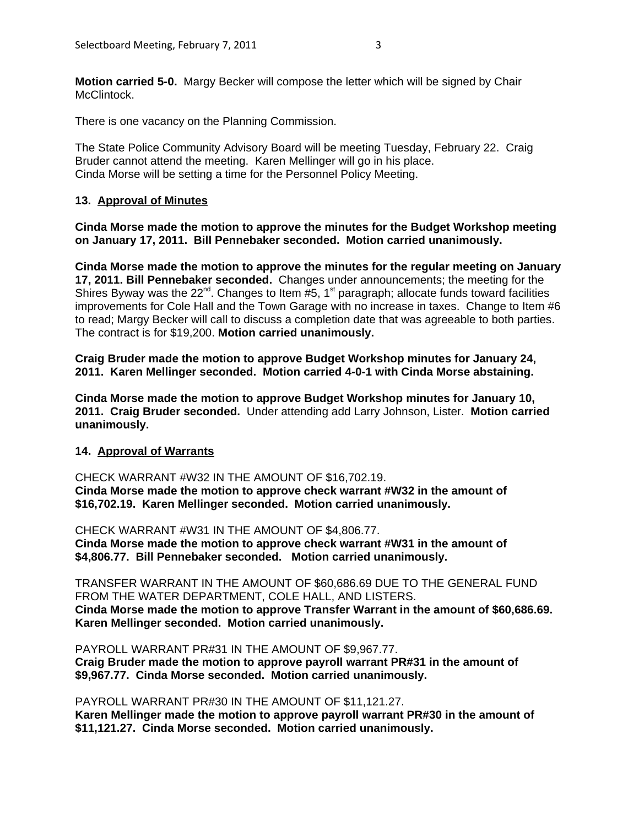**Motion carried 5-0.** Margy Becker will compose the letter which will be signed by Chair McClintock.

There is one vacancy on the Planning Commission.

The State Police Community Advisory Board will be meeting Tuesday, February 22. Craig Bruder cannot attend the meeting. Karen Mellinger will go in his place. Cinda Morse will be setting a time for the Personnel Policy Meeting.

## **13. Approval of Minutes**

**Cinda Morse made the motion to approve the minutes for the Budget Workshop meeting on January 17, 2011. Bill Pennebaker seconded. Motion carried unanimously.**

**Cinda Morse made the motion to approve the minutes for the regular meeting on January 17, 2011. Bill Pennebaker seconded.** Changes under announcements; the meeting for the Shires Byway was the  $22^{nd}$ . Changes to Item #5, 1<sup>st</sup> paragraph; allocate funds toward facilities improvements for Cole Hall and the Town Garage with no increase in taxes. Change to Item #6 to read; Margy Becker will call to discuss a completion date that was agreeable to both parties. The contract is for \$19,200. **Motion carried unanimously.**

**Craig Bruder made the motion to approve Budget Workshop minutes for January 24, 2011. Karen Mellinger seconded. Motion carried 4-0-1 with Cinda Morse abstaining.** 

**Cinda Morse made the motion to approve Budget Workshop minutes for January 10, 2011. Craig Bruder seconded.** Under attending add Larry Johnson, Lister. **Motion carried unanimously.**

#### **14. Approval of Warrants**

CHECK WARRANT #W32 IN THE AMOUNT OF \$16,702.19. **Cinda Morse made the motion to approve check warrant #W32 in the amount of \$16,702.19. Karen Mellinger seconded. Motion carried unanimously.**

CHECK WARRANT #W31 IN THE AMOUNT OF \$4,806.77.

**Cinda Morse made the motion to approve check warrant #W31 in the amount of \$4,806.77. Bill Pennebaker seconded. Motion carried unanimously.**

TRANSFER WARRANT IN THE AMOUNT OF \$60,686.69 DUE TO THE GENERAL FUND FROM THE WATER DEPARTMENT, COLE HALL, AND LISTERS. **Cinda Morse made the motion to approve Transfer Warrant in the amount of \$60,686.69. Karen Mellinger seconded. Motion carried unanimously.**

PAYROLL WARRANT PR#31 IN THE AMOUNT OF \$9,967.77. **Craig Bruder made the motion to approve payroll warrant PR#31 in the amount of \$9,967.77. Cinda Morse seconded. Motion carried unanimously.**

PAYROLL WARRANT PR#30 IN THE AMOUNT OF \$11,121.27. **Karen Mellinger made the motion to approve payroll warrant PR#30 in the amount of \$11,121.27. Cinda Morse seconded. Motion carried unanimously.**